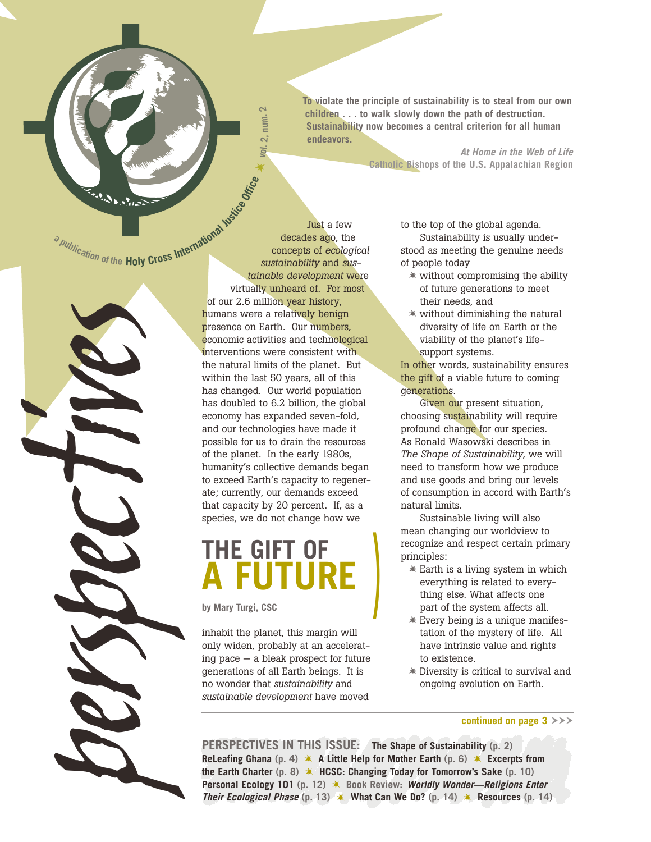**To violate the principle of sustainability is to steal from our own children . . . to walk slowly down the path of destruction. Sustainability now becomes a central criterion for all human endeavors.**

> *At Home in the Web of Life*  **Catholic Bishops of the U.S. Appalachian Region**

*tives*

*perspec*

Just a few decades ago, the concepts of *ecological sustainability* and *sustainable development* were virtually unheard of. For most of our 2.6 million year history, humans were a relatively benign presence on Earth. Our numbers, economic activities and technological interventions were consistent with the natural limits of the planet. But within the last 50 years, all of this has changed. Our world population has doubled to 6.2 billion, the global economy has expanded seven-fold, and our technologies have made it possible for us to drain the resources of the planet. In the early 1980s, humanity's collective demands began to exceed Earth's capacity to regenerate; currently, our demands exceed that capacity by 20 percent. If, as a species, we do not change how we a publication of the Holy Cross International Material

\*

**vol. 2, num. 2**

Vol.

2, num.

# **THE GIFT OF A FUTURE**

**by Mary Turgi, CSC**

inhabit the planet, this margin will only widen, probably at an accelerating pace — a bleak prospect for future generations of all Earth beings. It is no wonder that *sustainability* and *sustainable development* have moved

to the top of the global agenda. Sustainability is usually understood as meeting the genuine needs

- of people today  $*$  without compromising the ability of future generations to meet their needs, and
- $*$  without diminishing the natural diversity of life on Earth or the viability of the planet's lifesupport systems.

In other words, sustainability ensures the gift of a viable future to coming generations.

Given our present situation, choosing sustainability will require profound change for our species. As Ronald Wasowski describes in *The Shape of Sustainability*, we will need to transform how we produce and use goods and bring our levels of consumption in accord with Earth's natural limits.

Sustainable living will also mean changing our worldview to recognize and respect certain primary principles:

- Earth is a living system in which everything is related to everything else. What affects one part of the system affects all.
- Every being is a unique manifestation of the mystery of life. All have intrinsic value and rights to existence.
- Diversity is critical to survival and ongoing evolution on Earth.

#### **continued on page**  $3 \rightarrow \rightarrow$

**PERSPECTIVES IN THIS ISSUE: The Shape of Sustainability (p. 2) ReLeafing Ghana (p. 4) A Little Help for Mother Earth (p. 6) Excerpts from the Earth Charter (p. 8) HCSC: Changing Today for Tomorrow's Sake (p. 10) Personal Ecology 101 (p. 12) Book Review:** *Worldly Wonder—Religions Enter Their Ecological Phase*  $(p. 13)$   $\ast$  What Can We Do?  $(p. 14)$   $\ast$  Resources  $(p. 14)$ 

**)**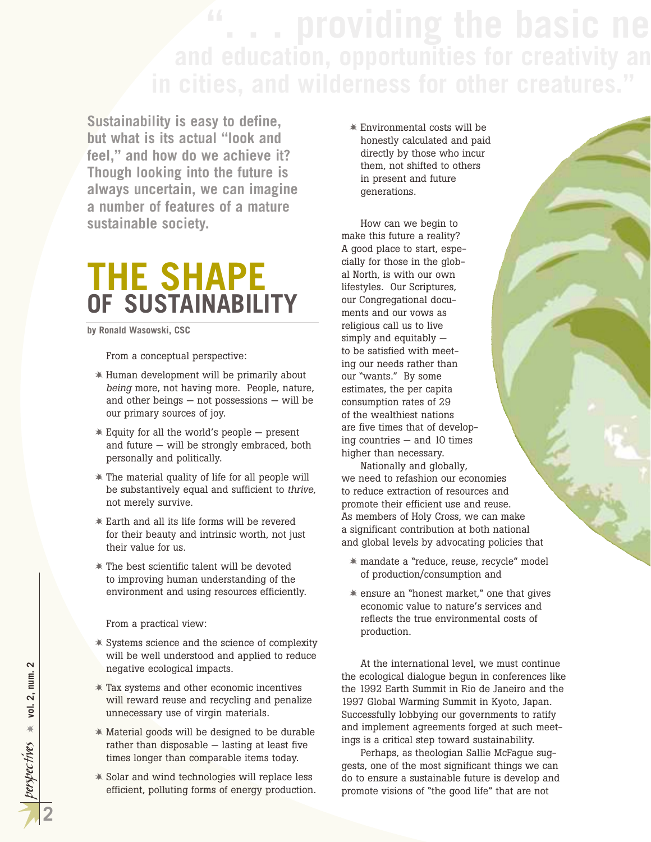**Sustainability is easy to define, but what is its actual "look and feel," and how do we achieve it? Though looking into the future is always uncertain, we can imagine a number of features of a mature sustainable society.**

# **THE SHAPE OF SUSTAINABILITY**

**by Ronald Wasowski, CSC**

From a conceptual perspective:

- Human development will be primarily about *being* more, not having more. People, nature, and other beings — not possessions — will be our primary sources of joy.
- $*$  Equity for all the world's people  $-$  present and future — will be strongly embraced, both personally and politically.
- The material quality of life for all people will be substantively equal and sufficient to *thrive*, not merely survive.
- Earth and all its life forms will be revered for their beauty and intrinsic worth, not just their value for us.
- The best scientific talent will be devoted to improving human understanding of the environment and using resources efficiently.

From a practical view:

- Systems science and the science of complexity will be well understood and applied to reduce negative ecological impacts.
- $*$  Tax systems and other economic incentives will reward reuse and recycling and penalize unnecessary use of virgin materials.
- Material goods will be designed to be durable rather than disposable  $-$  lasting at least five times longer than comparable items today.
- Solar and wind technologies will replace less efficient, polluting forms of energy production.

 Environmental costs will be honestly calculated and paid directly by those who incur them, not shifted to others in present and future generations.

How can we begin to make this future a reality? A good place to start, especially for those in the global North, is with our own lifestyles. Our Scriptures, our Congregational documents and our vows as religious call us to live simply and equitably to be satisfied with meeting our needs rather than our "wants." By some estimates, the per capita consumption rates of 29 of the wealthiest nations are five times that of developing countries — and 10 times higher than necessary.

Nationally and globally, we need to refashion our economies to reduce extraction of resources and promote their efficient use and reuse. As members of Holy Cross, we can make a significant contribution at both national and global levels by advocating policies that

- mandate a "reduce, reuse, recycle" model of production/consumption and
- ensure an "honest market," one that gives economic value to nature's services and reflects the true environmental costs of production.

At the international level, we must continue the ecological dialogue begun in conferences like the 1992 Earth Summit in Rio de Janeiro and the 1997 Global Warming Summit in Kyoto, Japan. Successfully lobbying our governments to ratify and implement agreements forged at such meetings is a critical step toward sustainability.

Perhaps, as theologian Sallie McFague suggests, one of the most significant things we can do to ensure a sustainable future is develop and promote visions of "the good life" that are not

**2**

☀

**vol. 2, num. 2**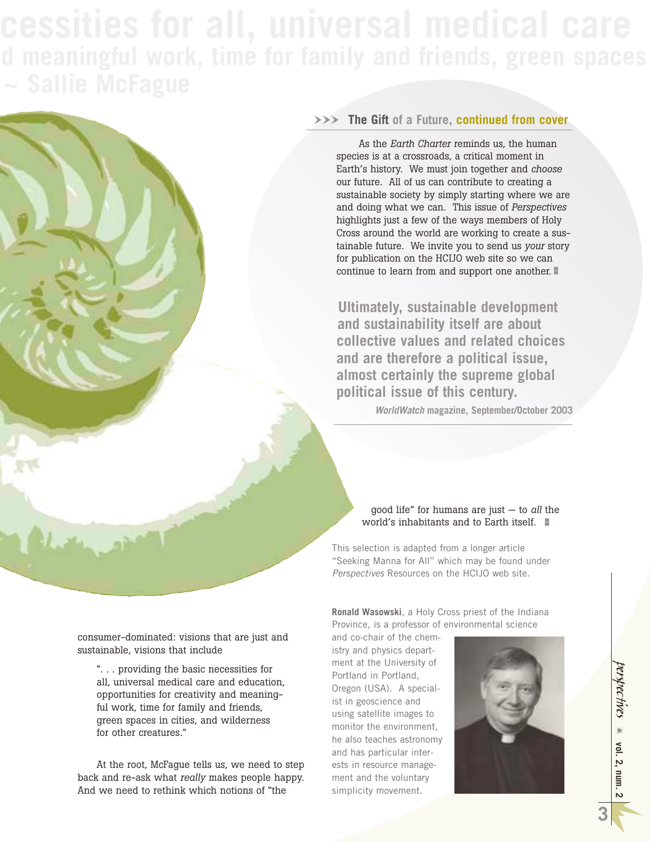#### WWW **The Gift of a Future, continued from cover**

continue to learn from and support one another. As the *Earth Charter* reminds us, the human species is at a crossroads, a critical moment in Earth's history. We must join together and *choose* our future. All of us can contribute to creating a sustainable society by simply starting where we are and doing what we can. This issue of *Perspectives* highlights just a few of the ways members of Holy Cross around the world are working to create a sustainable future. We invite you to send us *your* story for publication on the HCIJO web site so we can

**Ultimately, sustainable development and sustainability itself are about collective values and related choices and are therefore a political issue, almost certainly the supreme global political issue of this century.**

*WorldWatch* **magazine, September/October 2003**

#### good life" for humans are just — to *all* the world's inhabitants and to Earth itself.  $\quadblacksquare$

This selection is adapted from a longer article "Seeking Manna for All" which may be found under *Perspectives* Resources on the HCIJO web site.

**Ronald Wasowski**, a Holy Cross priest of the Indiana Province, is a professor of environmental science

and co-chair of the chemistry and physics department at the University of Portland in Portland, Oregon (USA). A specialist in geoscience and using satellite images to monitor the environment, he also teaches astronomy and has particular interests in resource management and the voluntary simplicity movement.



*perspec tives* ☀ **vol. 2, num. 2**

**3**

consumer-dominated: visions that are just and sustainable, visions that include

". . . providing the basic necessities for all, universal medical care and education, opportunities for creativity and meaningful work, time for family and friends, green spaces in cities, and wilderness for other creatures."

At the root, McFague tells us, we need to step back and re-ask what *really* makes people happy. And we need to rethink which notions of "the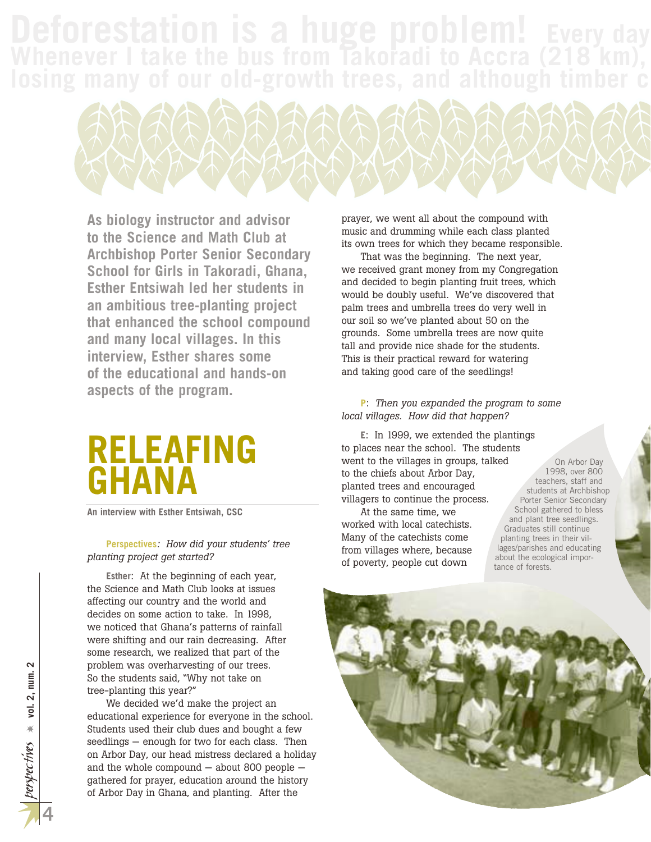

**As biology instructor and advisor to the Science and Math Club at Archbishop Porter Senior Secondary School for Girls in Takoradi, Ghana, Esther Entsiwah led her students in an ambitious tree-planting project that enhanced the school compound and many local villages. In this interview, Esther shares some of the educational and hands-on aspects of the program.**

# **RELEAFING GHANA**

**An interview with Esther Entsiwah, CSC**

#### **Perspectives***: How did your students' tree planting project get started?*

**Esther**: At the beginning of each year, the Science and Math Club looks at issues affecting our country and the world and decides on some action to take. In 1998, we noticed that Ghana's patterns of rainfall were shifting and our rain decreasing. After some research, we realized that part of the problem was overharvesting of our trees. So the students said, "Why not take on tree-planting this year?"

We decided we'd make the project an educational experience for everyone in the school. Students used their club dues and bought a few seedlings — enough for two for each class. Then on Arbor Day, our head mistress declared a holiday and the whole compound — about 800 people gathered for prayer, education around the history of Arbor Day in Ghana, and planting. After the

prayer, we went all about the compound with music and drumming while each class planted its own trees for which they became responsible.

That was the beginning. The next year, we received grant money from my Congregation and decided to begin planting fruit trees, which would be doubly useful. We've discovered that palm trees and umbrella trees do very well in our soil so we've planted about 50 on the grounds. Some umbrella trees are now quite tall and provide nice shade for the students. This is their practical reward for watering and taking good care of the seedlings!

**P**: *Then you expanded the program to some local villages. How did that happen?*

**E**: In 1999, we extended the plantings to places near the school. The students went to the villages in groups, talked to the chiefs about Arbor Day, planted trees and encouraged villagers to continue the process.

At the same time, we worked with local catechists. Many of the catechists come from villages where, because of poverty, people cut down

On Arbor Day 1998, over 800 teachers, staff and students at Archbishop Porter Senior Secondary School gathered to bless and plant tree seedlings. Graduates still continue planting trees in their villages/parishes and educating about the ecological importance of forests.

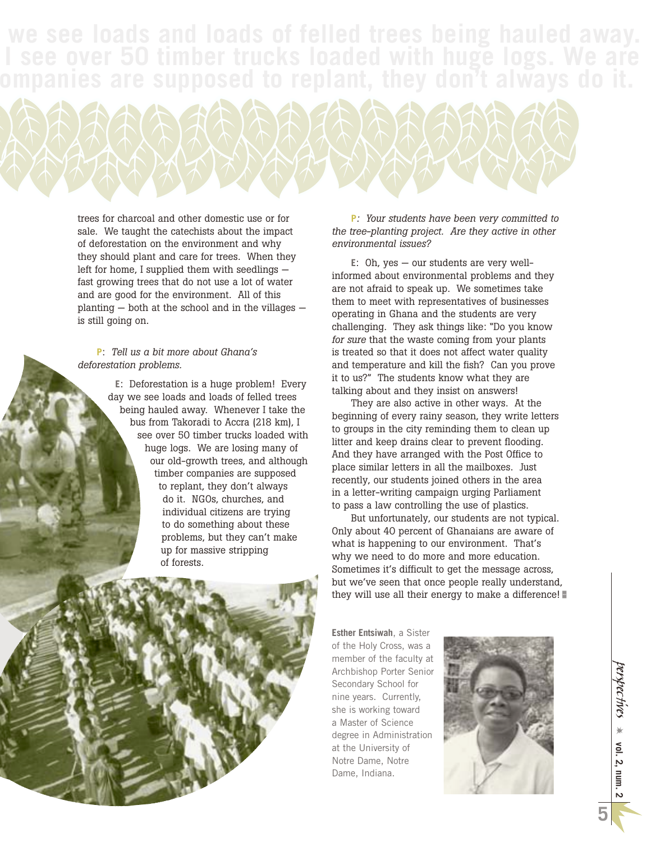

trees for charcoal and other domestic use or for sale. We taught the catechists about the impact of deforestation on the environment and why they should plant and care for trees. When they left for home, I supplied them with seedlings fast growing trees that do not use a lot of water and are good for the environment. All of this planting — both at the school and in the villages is still going on.

#### **P**: *Tell us a bit more about Ghana's deforestation problems.*

**E**: Deforestation is a huge problem! Every day we see loads and loads of felled trees being hauled away. Whenever I take the bus from Takoradi to Accra (218 km), I see over 50 timber trucks loaded with huge logs. We are losing many of our old-growth trees, and although timber companies are supposed to replant, they don't always do it. NGOs, churches, and individual citizens are trying to do something about these problems, but they can't make up for massive stripping of forests.

**P***: Your students have been very committed to the tree-planting project. Are they active in other environmental issues?*

**E**: Oh, yes — our students are very wellinformed about environmental problems and they are not afraid to speak up. We sometimes take them to meet with representatives of businesses operating in Ghana and the students are very challenging. They ask things like: "Do you know *for sure* that the waste coming from your plants is treated so that it does not affect water quality and temperature and kill the fish? Can you prove it to us?" The students know what they are talking about and they insist on answers!

They are also active in other ways. At the beginning of every rainy season, they write letters to groups in the city reminding them to clean up litter and keep drains clear to prevent flooding. And they have arranged with the Post Office to place similar letters in all the mailboxes. Just recently, our students joined others in the area in a letter-writing campaign urging Parliament to pass a law controlling the use of plastics.

But unfortunately, our students are not typical. Only about 40 percent of Ghanaians are aware of what is happening to our environment. That's why we need to do more and more education. Sometimes it's difficult to get the message across, but we've seen that once people really understand, they will use all their energy to make a difference!



**Esther Entsiwah**, a Sister of the Holy Cross, was a member of the faculty at Archbishop Porter Senior Secondary School for nine years. Currently, she is working toward a Master of Science degree in Administration at the University of Notre Dame, Notre Dame, Indiana.



*perspec tives* ☀ **vol. 2, num. 2**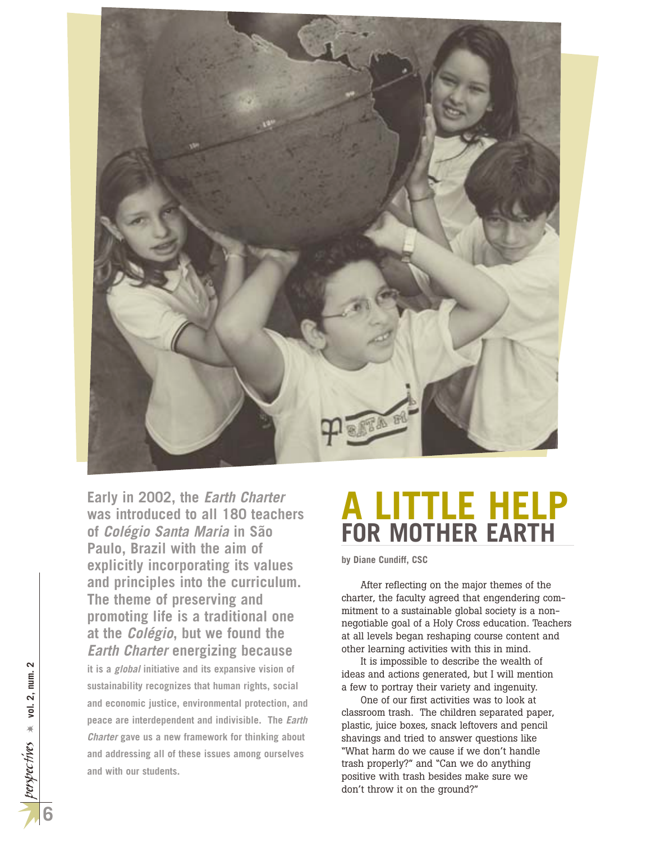

**Early in 2002, the** *Earth Charter*  **was introduced to all 180 teachers of** *Colégio Santa Maria* **in São Paulo, Brazil with the aim of explicitly incorporating its values and principles into the curriculum. The theme of preserving and promoting life is a traditional one at the** *Colégio***, but we found the**  *Earth Charter* **energizing because** 

**it is a** *global* **initiative and its expansive vision of sustainability recognizes that human rights, social and economic justice, environmental protection, and peace are interdependent and indivisible. The** *Earth Charter* **gave us a new framework for thinking about and addressing all of these issues among ourselves and with our students.**

# **A LITTLE HELP FOR MOTHER EARTH**

**by Diane Cundiff, CSC**

After reflecting on the major themes of the charter, the faculty agreed that engendering commitment to a sustainable global society is a nonnegotiable goal of a Holy Cross education. Teachers at all levels began reshaping course content and other learning activities with this in mind.

It is impossible to describe the wealth of ideas and actions generated, but I will mention a few to portray their variety and ingenuity.

One of our first activities was to look at classroom trash. The children separated paper, plastic, juice boxes, snack leftovers and pencil shavings and tried to answer questions like "What harm do we cause if we don't handle trash properly?" and "Can we do anything positive with trash besides make sure we don't throw it on the ground?"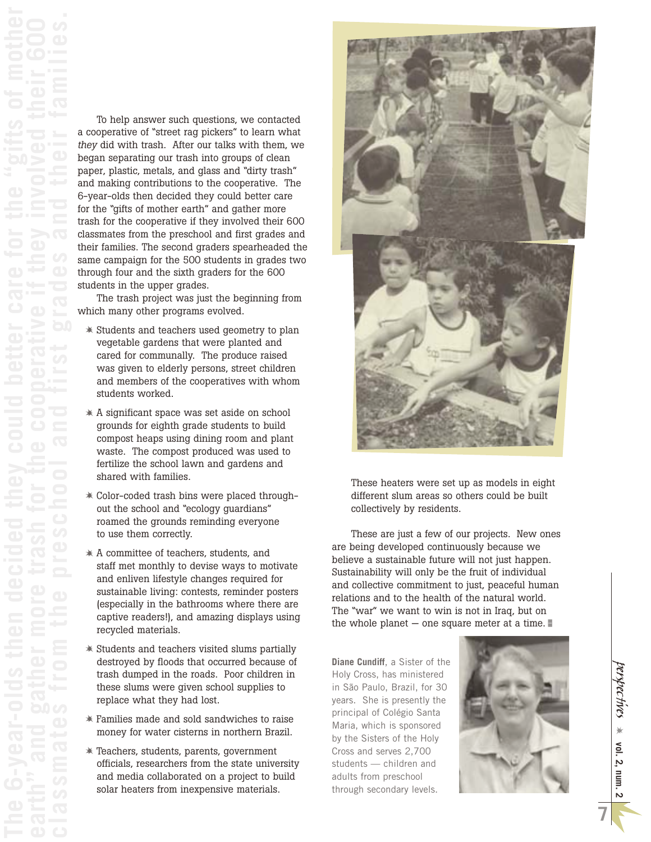To help answer such questions, we contacted a cooperative of "street rag pickers" to learn what *they* did with trash. After our talks with them, we began separating our trash into groups of clean paper, plastic, metals, and glass and "dirty trash" and making contributions to the cooperative. The 6-year-olds then decided they could better care for the "gifts of mother earth" and gather more trash for the cooperative if they involved their 600 classmates from the preschool and first grades and their families. The second graders spearheaded the same campaign for the 500 students in grades two through four and the sixth graders for the 600 students in the upper grades.

The trash project was just the beginning from which many other programs evolved.

- Students and teachers used geometry to plan vegetable gardens that were planted and cared for communally. The produce raised was given to elderly persons, street children and members of the cooperatives with whom students worked.
- $*$  A significant space was set aside on school grounds for eighth grade students to build compost heaps using dining room and plant waste. The compost produced was used to fertilize the school lawn and gardens and shared with families.
- Color-coded trash bins were placed throughout the school and "ecology guardians" roamed the grounds reminding everyone to use them correctly.
- \* A committee of teachers, students, and staff met monthly to devise ways to motivate and enliven lifestyle changes required for sustainable living: contests, reminder posters (especially in the bathrooms where there are captive readers!), and amazing displays using recycled materials.
- Students and teachers visited slums partially destroyed by floods that occurred because of trash dumped in the roads. Poor children in these slums were given school supplies to replace what they had lost.
- Families made and sold sandwiches to raise money for water cisterns in northern Brazil.
- Teachers, students, parents, government officials, researchers from the state university and media collaborated on a project to build solar heaters from inexpensive materials.



These heaters were set up as models in eight different slum areas so others could be built collectively by residents.

These are just a few of our projects. New ones are being developed continuously because we believe a sustainable future will not just happen. Sustainability will only be the fruit of individual and collective commitment to just, peaceful human relations and to the health of the natural world. The "war" we want to win is not in Iraq, but on the whole planet  $-$  one square meter at a time.

**Diane Cundiff**, a Sister of the Holy Cross, has ministered in São Paulo, Brazil, for 30 years. She is presently the principal of Colégio Santa Maria, which is sponsored by the Sisters of the Holy Cross and serves 2,700 students — children and adults from preschool through secondary levels.

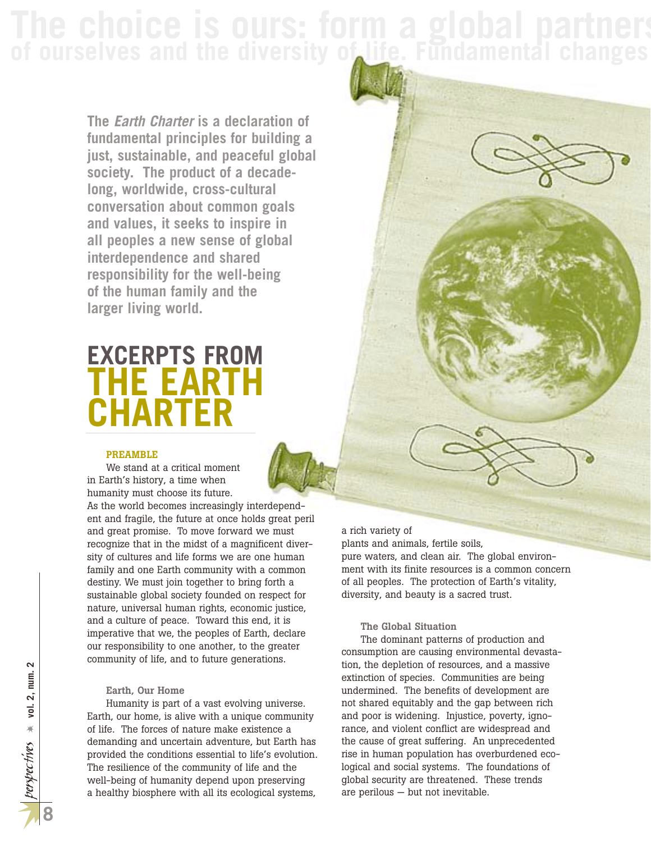# **of ourselves and the diversity of life. Fundamental changes**

**The** *Earth Charter* **is a declaration of fundamental principles for building a just, sustainable, and peaceful global society. The product of a decadelong, worldwide, cross-cultural conversation about common goals and values, it seeks to inspire in all peoples a new sense of global interdependence and shared responsibility for the well-being of the human family and the larger living world.**

# **EXCERPTS FROM THE EARTH CHARTER**

#### **PREAMBLE**

We stand at a critical moment in Earth's history, a time when humanity must choose its future.

As the world becomes increasingly interdependent and fragile, the future at once holds great peril and great promise. To move forward we must recognize that in the midst of a magnificent diversity of cultures and life forms we are one human family and one Earth community with a common destiny. We must join together to bring forth a sustainable global society founded on respect for nature, universal human rights, economic justice, and a culture of peace. Toward this end, it is imperative that we, the peoples of Earth, declare our responsibility to one another, to the greater community of life, and to future generations.

#### **Earth, Our Home**

Humanity is part of a vast evolving universe. Earth, our home, is alive with a unique community of life. The forces of nature make existence a demanding and uncertain adventure, but Earth has provided the conditions essential to life's evolution. The resilience of the community of life and the well-being of humanity depend upon preserving a healthy biosphere with all its ecological systems,

#### a rich variety of

plants and animals, fertile soils, pure waters, and clean air. The global environment with its finite resources is a common concern of all peoples. The protection of Earth's vitality, diversity, and beauty is a sacred trust.

#### **The Global Situation**

The dominant patterns of production and consumption are causing environmental devastation, the depletion of resources, and a massive extinction of species. Communities are being undermined. The benefits of development are not shared equitably and the gap between rich and poor is widening. Injustice, poverty, ignorance, and violent conflict are widespread and the cause of great suffering. An unprecedented rise in human population has overburdened ecological and social systems. The foundations of global security are threatened. These trends are perilous — but not inevitable.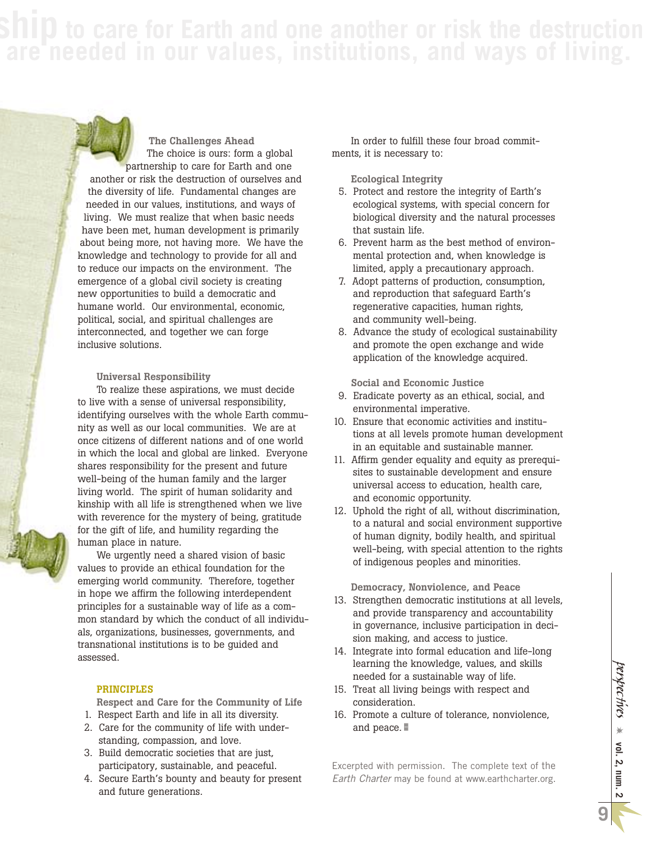**ship to care for Earth and one another or risk the destruction**

**The Challenges Ahead** The choice is ours: form a global partnership to care for Earth and one another or risk the destruction of ourselves and the diversity of life. Fundamental changes are needed in our values, institutions, and ways of living. We must realize that when basic needs have been met, human development is primarily about being more, not having more. We have the knowledge and technology to provide for all and to reduce our impacts on the environment. The emergence of a global civil society is creating new opportunities to build a democratic and humane world. Our environmental, economic, political, social, and spiritual challenges are interconnected, and together we can forge inclusive solutions.

#### **Universal Responsibility**

To realize these aspirations, we must decide to live with a sense of universal responsibility, identifying ourselves with the whole Earth community as well as our local communities. We are at once citizens of different nations and of one world in which the local and global are linked. Everyone shares responsibility for the present and future well-being of the human family and the larger living world. The spirit of human solidarity and kinship with all life is strengthened when we live with reverence for the mystery of being, gratitude for the gift of life, and humility regarding the human place in nature.

We urgently need a shared vision of basic values to provide an ethical foundation for the emerging world community. Therefore, together in hope we affirm the following interdependent principles for a sustainable way of life as a common standard by which the conduct of all individuals, organizations, businesses, governments, and transnational institutions is to be guided and assessed.

#### **PRINCIPLES**

**Respect and Care for the Community of Life** 1. Respect Earth and life in all its diversity.

- 2. Care for the community of life with understanding, compassion, and love.
- 3. Build democratic societies that are just, participatory, sustainable, and peaceful.
- 4. Secure Earth's bounty and beauty for present and future generations.

In order to fulfill these four broad commitments, it is necessary to:

**Ecological Integrity**

- 5. Protect and restore the integrity of Earth's ecological systems, with special concern for biological diversity and the natural processes that sustain life.
- 6. Prevent harm as the best method of environmental protection and, when knowledge is limited, apply a precautionary approach.
- 7. Adopt patterns of production, consumption, and reproduction that safeguard Earth's regenerative capacities, human rights, and community well-being.
- 8. Advance the study of ecological sustainability and promote the open exchange and wide application of the knowledge acquired.

**Social and Economic Justice**

- 9. Eradicate poverty as an ethical, social, and environmental imperative.
- 10. Ensure that economic activities and institutions at all levels promote human development in an equitable and sustainable manner.
- 11. Affirm gender equality and equity as prerequisites to sustainable development and ensure universal access to education, health care, and economic opportunity.
- 12. Uphold the right of all, without discrimination, to a natural and social environment supportive of human dignity, bodily health, and spiritual well-being, with special attention to the rights of indigenous peoples and minorities.

**Democracy, Nonviolence, and Peace**

- 13. Strengthen democratic institutions at all levels, and provide transparency and accountability in governance, inclusive participation in decision making, and access to justice.
- 14. Integrate into formal education and life-long learning the knowledge, values, and skills needed for a sustainable way of life.
- 15. Treat all living beings with respect and consideration.
- 16. Promote a culture of tolerance, nonviolence, and peace.

Excerpted with permission. The complete text of the *Earth Charter* may be found at www.earthcharter.org.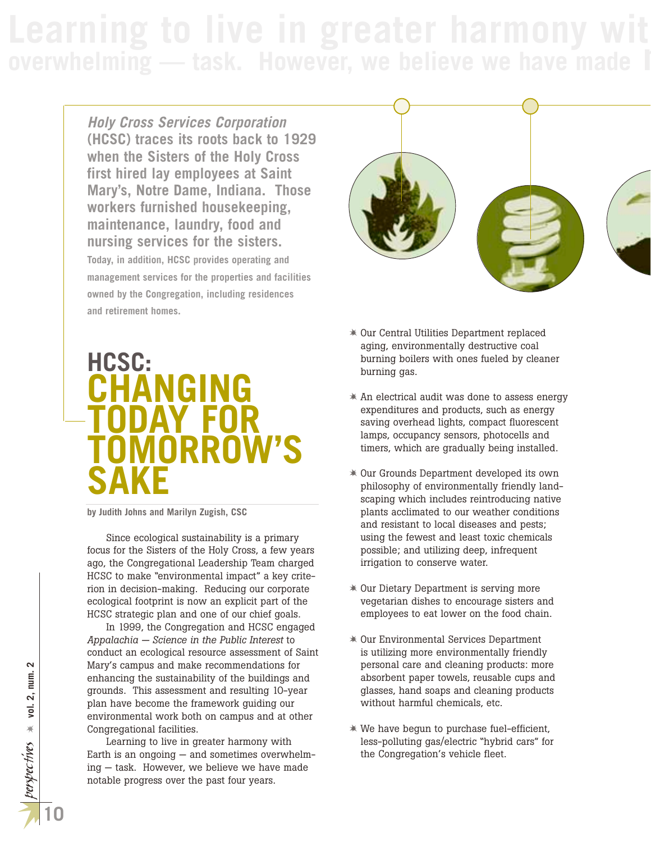*Holy Cross Services Corporation* **(HCSC) traces its roots back to 1929 when the Sisters of the Holy Cross first hired lay employees at Saint Mary's, Notre Dame, Indiana. Those workers furnished housekeeping, maintenance, laundry, food and nursing services for the sisters. Today, in addition, HCSC provides operating and management services for the properties and facilities owned by the Congregation, including residences and retirement homes.** 



**by Judith Johns and Marilyn Zugish, CSC**

Since ecological sustainability is a primary focus for the Sisters of the Holy Cross, a few years ago, the Congregational Leadership Team charged HCSC to make "environmental impact" a key criterion in decision-making. Reducing our corporate ecological footprint is now an explicit part of the HCSC strategic plan and one of our chief goals.

In 1999, the Congregation and HCSC engaged *Appalachia — Science in the Public Interest* to conduct an ecological resource assessment of Saint Mary's campus and make recommendations for enhancing the sustainability of the buildings and grounds. This assessment and resulting 10-year plan have become the framework guiding our environmental work both on campus and at other Congregational facilities.

Learning to live in greater harmony with Earth is an ongoing — and sometimes overwhelming — task. However, we believe we have made notable progress over the past four years.



- Our Central Utilities Department replaced aging, environmentally destructive coal burning boilers with ones fueled by cleaner burning gas.
- $*$  An electrical audit was done to assess energy expenditures and products, such as energy saving overhead lights, compact fluorescent lamps, occupancy sensors, photocells and timers, which are gradually being installed.
- Our Grounds Department developed its own philosophy of environmentally friendly landscaping which includes reintroducing native plants acclimated to our weather conditions and resistant to local diseases and pests; using the fewest and least toxic chemicals possible; and utilizing deep, infrequent irrigation to conserve water.
- Our Dietary Department is serving more vegetarian dishes to encourage sisters and employees to eat lower on the food chain.
- Our Environmental Services Department is utilizing more environmentally friendly personal care and cleaning products: more absorbent paper towels, reusable cups and glasses, hand soaps and cleaning products without harmful chemicals, etc.
- We have begun to purchase fuel-efficient, less-polluting gas/electric "hybrid cars" for the Congregation's vehicle fleet.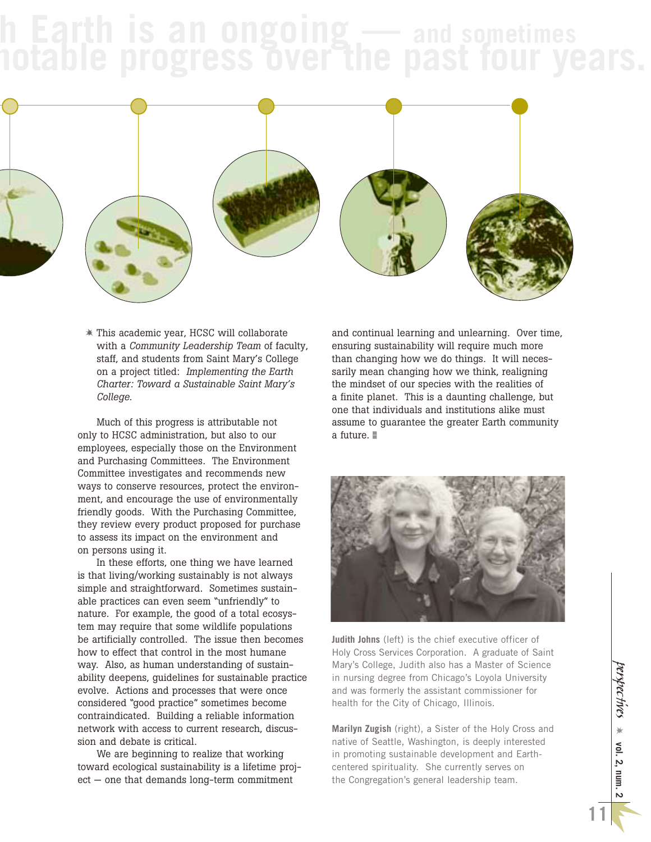

 This academic year, HCSC will collaborate with a *Community Leadership Team* of faculty, staff, and students from Saint Mary's College on a project titled: *Implementing the Earth Charter: Toward a Sustainable Saint Mary's College.*

Much of this progress is attributable not only to HCSC administration, but also to our employees, especially those on the Environment and Purchasing Committees. The Environment Committee investigates and recommends new ways to conserve resources, protect the environment, and encourage the use of environmentally friendly goods. With the Purchasing Committee, they review every product proposed for purchase to assess its impact on the environment and on persons using it.

In these efforts, one thing we have learned is that living/working sustainably is not always simple and straightforward. Sometimes sustainable practices can even seem "unfriendly" to nature. For example, the good of a total ecosystem may require that some wildlife populations be artificially controlled. The issue then becomes how to effect that control in the most humane way. Also, as human understanding of sustainability deepens, guidelines for sustainable practice evolve. Actions and processes that were once considered "good practice" sometimes become contraindicated. Building a reliable information network with access to current research, discussion and debate is critical.

We are beginning to realize that working toward ecological sustainability is a lifetime project — one that demands long-term commitment

and continual learning and unlearning. Over time, ensuring sustainability will require much more than changing how we do things. It will necessarily mean changing how we think, realigning the mindset of our species with the realities of a finite planet. This is a daunting challenge, but one that individuals and institutions alike must assume to guarantee the greater Earth community a future. **L** 



**Judith Johns** (left) is the chief executive officer of Holy Cross Services Corporation. A graduate of Saint Mary's College, Judith also has a Master of Science in nursing degree from Chicago's Loyola University and was formerly the assistant commissioner for health for the City of Chicago, Illinois.

**Marilyn Zugish** (right), a Sister of the Holy Cross and native of Seattle, Washington, is deeply interested in promoting sustainable development and Earthcentered spirituality. She currently serves on the Congregation's general leadership team.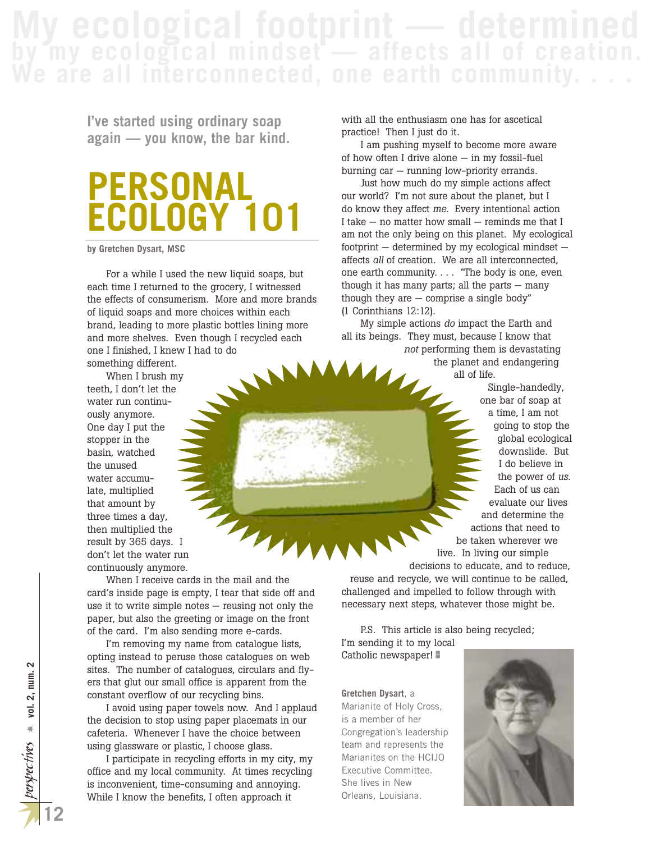**My ecological footprint — determined by my ecological mindset — affects all of creation.** 

> **I've started using ordinary soap again — you know, the bar kind.**

# **PERSONAL ECOLOGY 101**

**by Gretchen Dysart, MSC**

For a while I used the new liquid soaps, but each time I returned to the grocery, I witnessed the effects of consumerism. More and more brands of liquid soaps and more choices within each brand, leading to more plastic bottles lining more and more shelves. Even though I recycled each one I finished, I knew I had to do

something different. N N N When I brush my

teeth, I don't let the water run continuously anymore. One day I put the stopper in the basin, watched the unused water accumulate, multiplied that amount by three times a day, then multiplied the result by 365 days. I Water Chate, multiplied<br>
that amount by<br>
three times a day,<br>
then multiplied the<br>
result by 365 days. I<br>
don't let the water run continuously anymore.

When I receive cards in the mail and the card's inside page is empty, I tear that side off and use it to write simple notes — reusing not only the paper, but also the greeting or image on the front of the card. I'm also sending more e-cards.

I'm removing my name from catalogue lists, opting instead to peruse those catalogues on web sites. The number of catalogues, circulars and flyers that glut our small office is apparent from the constant overflow of our recycling bins.

I avoid using paper towels now. And I applaud the decision to stop using paper placemats in our cafeteria. Whenever I have the choice between using glassware or plastic, I choose glass.

I participate in recycling efforts in my city, my office and my local community. At times recycling is inconvenient, time-consuming and annoying. While I know the benefits, I often approach it

with all the enthusiasm one has for ascetical practice! Then I just do it.

I am pushing myself to become more aware of how often I drive alone — in my fossil-fuel burning car — running low-priority errands.

Just how much do my simple actions affect our world? I'm not sure about the planet, but I do know they affect *me*. Every intentional action I take — no matter how small — reminds me that I am not the only being on this planet. My ecological footprint — determined by my ecological mindset affects *all* of creation. We are all interconnected, one earth community. . . . "The body is one, even though it has many parts; all the parts — many though they are  $-$  comprise a single body" (1 Corinthians 12:12).

My simple actions *do* impact the Earth and all its beings. They must, because I know that

> *not* performing them is devastating all of life.

the planet and endangering<br>all of life.<br>Single-handedly<br>one bar of soap at<br>a time, I am not<br>and to stop the Single-handedly, one bar of soap at a time, I am not going to stop the global ecological downslide. But I do believe in the power of *us*. Each of us can evaluate our lives and determine the actions that need to be taken wherever we live. In living our simple decisions to educate, and to reduce,

reuse and recycle, we will continue to be called, challenged and impelled to follow through with necessary next steps, whatever those might be.

P.S. This article is also being recycled; I'm sending it to my local Catholic newspaper!

**Gretchen Dysart**, a Marianite of Holy Cross, is a member of her Congregation's leadership team and represents the Marianites on the HCIJO Executive Committee. She lives in New Orleans, Louisiana.



*perspec tives* ☀ **vol. 2, num. 2**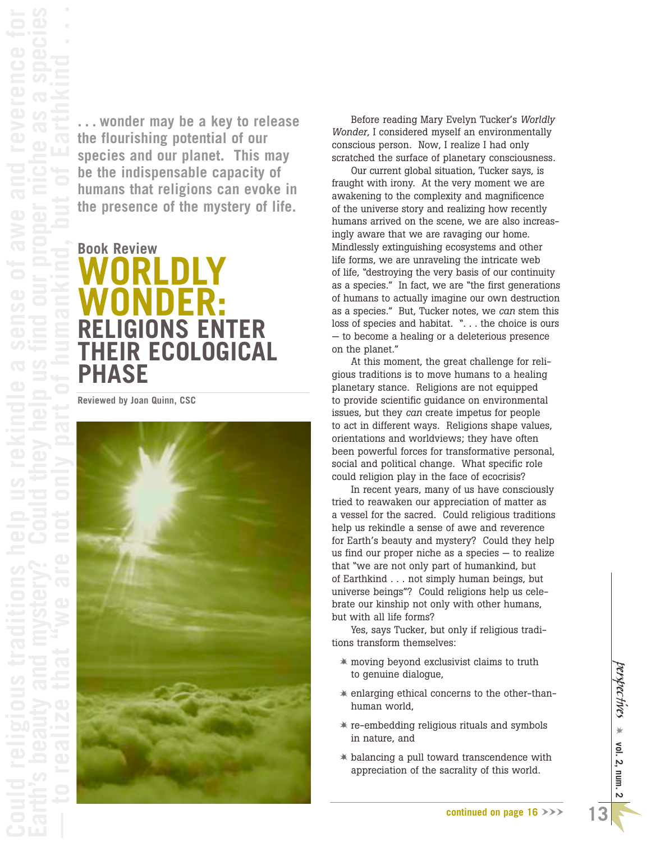**. . . wonder may be a key to release the flourishing potential of our species and our planet. This may be the indispensable capacity of humans that religions can evoke in the presence of the mystery of life.**

### **Book Review WORLDLY WONDER: RELIGIONS ENTER THEIR ECOLOGICAL PHASE**

**Reviewed by Joan Quinn, CSC**



Before reading Mary Evelyn Tucker's *Worldly Wonder*, I considered myself an environmentally conscious person. Now, I realize I had only scratched the surface of planetary consciousness.

Our current global situation, Tucker says, is fraught with irony. At the very moment we are awakening to the complexity and magnificence of the universe story and realizing how recently humans arrived on the scene, we are also increasingly aware that we are ravaging our home. Mindlessly extinguishing ecosystems and other life forms, we are unraveling the intricate web of life, "destroying the very basis of our continuity as a species." In fact, we are "the first generations of humans to actually imagine our own destruction as a species." But, Tucker notes, we *can* stem this loss of species and habitat. "... the choice is ours — to become a healing or a deleterious presence on the planet."

At this moment, the great challenge for religious traditions is to move humans to a healing planetary stance. Religions are not equipped to provide scientific guidance on environmental issues, but they *can* create impetus for people to act in different ways. Religions shape values, orientations and worldviews; they have often been powerful forces for transformative personal, social and political change. What specific role could religion play in the face of ecocrisis?

In recent years, many of us have consciously tried to reawaken our appreciation of matter as a vessel for the sacred. Could religious traditions help us rekindle a sense of awe and reverence for Earth's beauty and mystery? Could they help us find our proper niche as a species — to realize that "we are not only part of humankind, but of Earthkind . . . not simply human beings, but universe beings"? Could religions help us celebrate our kinship not only with other humans, but with all life forms?

Yes, says Tucker, but only if religious traditions transform themselves:

- moving beyond exclusivist claims to truth to genuine dialogue,
- enlarging ethical concerns to the other-thanhuman world,
- $*$  re-embedding religious rituals and symbols in nature, and
- balancing a pull toward transcendence with appreciation of the sacrality of this world.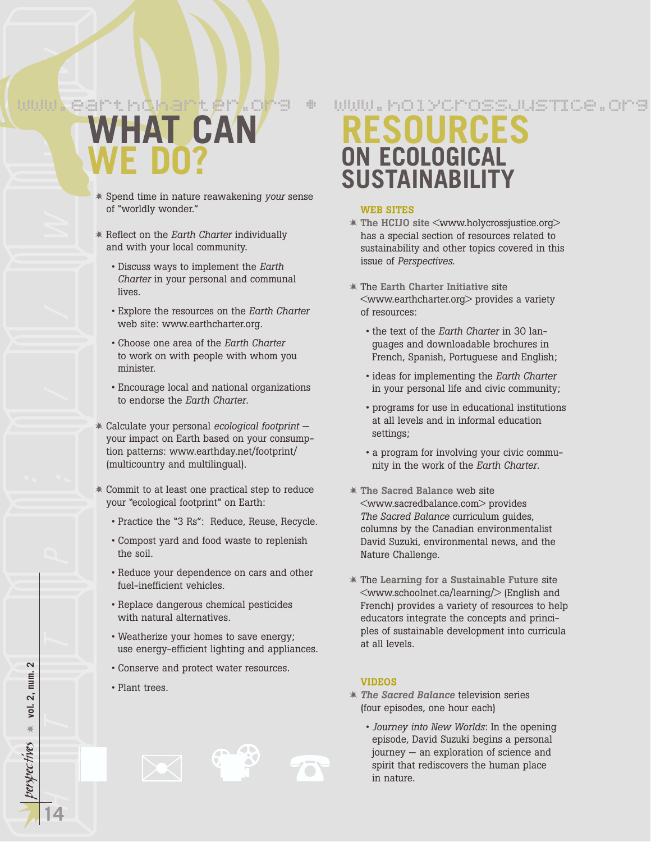# *perspec* http://www *tives* **WHAT CAN WE DO?**

- Spend time in nature reawakening *your* sense of "worldly wonder."
- Reflect on the *Earth Charter* individually and with your local community.
	- Discuss ways to implement the *Earth Charter* in your personal and communal lives.
	- Explore the resources on the *Earth Charter* web site: www.earthcharter.org.
	- Choose one area of the *Earth Charter* to work on with people with whom you minister.
	- Encourage local and national organizations to endorse the *Earth Charter*.
- Calculate your personal *ecological footprint* your impact on Earth based on your consumption patterns: www.earthday.net/footprint/ (multicountry and multilingual).
- Commit to at least one practical step to reduce your "ecological footprint" on Earth:
	- Practice the "3 Rs": Reduce, Reuse, Recycle.
	- Compost yard and food waste to replenish the soil.
	- Reduce your dependence on cars and other fuel-inefficient vehicles.
	- Replace dangerous chemical pesticides with natural alternatives.
	- Weatherize your homes to save energy; use energy-efficient lighting and appliances.
	- Conserve and protect water resources.
	- Plant trees.

## **RESOURCES ON ECOLOGICAL SUSTAINABILIT** www.earthcharter.org • www.holycrossjusTIce.org

#### **WEB SITES**

- **The HCIJO site** <www.holycrossjustice.org> has a special section of resources related to sustainability and other topics covered in this issue of *Perspectives*.
- The **Earth Charter Initiative** site <www.earthcharter.org> provides a variety of resources:
	- the text of the *Earth Charter* in 30 languages and downloadable brochures in French, Spanish, Portuguese and English;
	- ideas for implementing the *Earth Charter* in your personal life and civic community;
	- programs for use in educational institutions at all levels and in informal education settings;
	- a program for involving your civic community in the work of the *Earth Charter*.
- **The Sacred Balance** web site <www.sacredbalance.com> provides *The Sacred Balance* curriculum guides, columns by the Canadian environmentalist David Suzuki, environmental news, and the Nature Challenge.
- The **Learning for a Sustainable Future** site <www.schoolnet.ca/learning/> (English and French) provides a variety of resources to help educators integrate the concepts and principles of sustainable development into curricula at all levels.

#### **VIDEOS**

☎

- *The Sacred Balance* television series (four episodes, one hour each)
	- *Journey into New Worlds*: In the opening episode, David Suzuki begins a personal journey — an exploration of science and spirit that rediscovers the human place in nature.

 $\mathbf{\Omega}$  **vol. 2, num. 2 Perspectives**  $*$  vol. 2, num.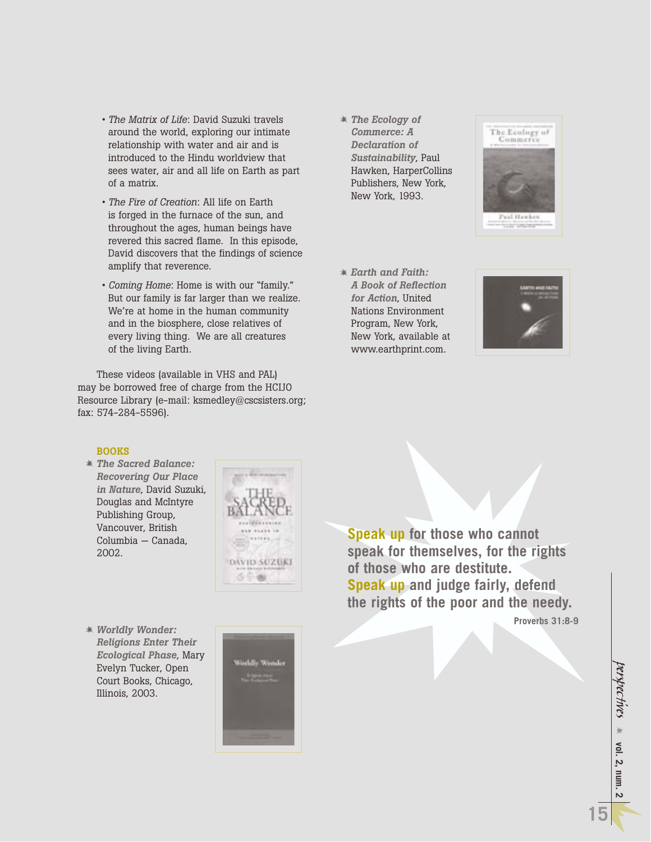- *The Matrix of Life*: David Suzuki travels around the world, exploring our intimate relationship with water and air and is introduced to the Hindu worldview that sees water, air and all life on Earth as part of a matrix.
- *The Fire of Creation*: All life on Earth is forged in the furnace of the sun, and throughout the ages, human beings have revered this sacred flame. In this episode, David discovers that the findings of science amplify that reverence.
- *Coming Home*: Home is with our "family." But our family is far larger than we realize. We're at home in the human community and in the biosphere, close relatives of every living thing. We are all creatures of the living Earth.

These videos (available in VHS and PAL) may be borrowed free of charge from the HCIJO Resource Library (e-mail: ksmedley@cscsisters.org; fax: 574-284-5596).

- *The Ecology of Commerce: A Declaration of Sustainability*, Paul Hawken, HarperCollins Publishers, New York, New York, 1993.
- *Earth and Faith: A Book of Reflection for Action*, United Nations Environment Program, New York, New York, available at www.earthprint.com.



The Eenlogy of Commerci

'sal Hawk

#### **BOOKS**

 *The Sacred Balance: Recovering Our Place in Nature*, David Suzuki, Douglas and McIntyre Publishing Group, Vancouver, British Columbia — Canada, 2002.



 *Worldly Wonder: Religions Enter Their Ecological Phase*, Mary Evelyn Tucker, Open Court Books, Chicago, Illinois, 2003.



**Speak up for those who cannot speak for themselves, for the rights of those who are destitute. Speak up and judge fairly, defend the rights of the poor and the needy.**

**Proverbs 31:8-9**